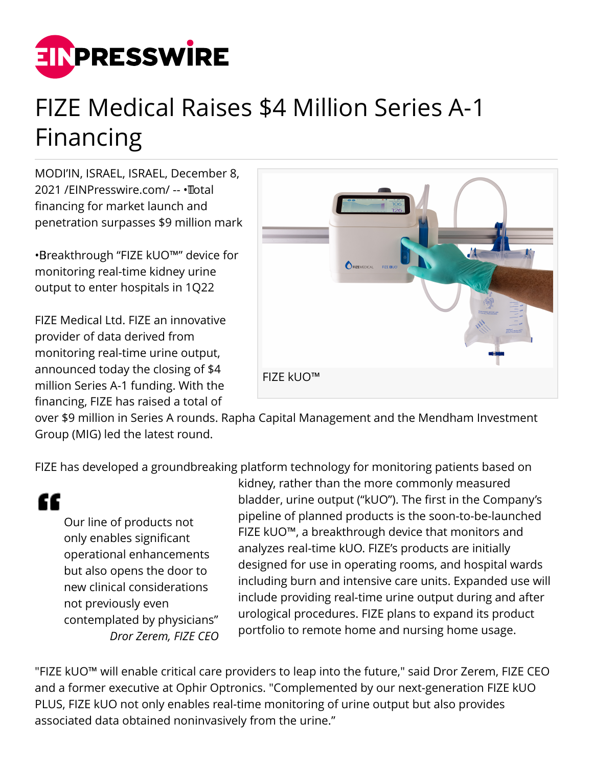

# FIZE Medical Raises \$4 Million Series A-1 Financing

MODI'IN, ISRAEL, ISRAEL, December 8, 2021 /[EINPresswire.com](http://www.einpresswire.com)/ -- • Total financing for market launch and penetration surpasses \$9 million mark

• Breakthrough "FIZE kUO™" device for monitoring real-time kidney urine output to enter hospitals in 1Q22

FIZE Medical Ltd. FIZE an innovative provider of data derived from monitoring real-time urine output, announced today the closing of \$4 million Series A-1 funding. With the financing, FIZE has raised a total of



over \$9 million in Series A rounds. Rapha Capital Management and the Mendham Investment Group (MIG) led the latest round.

FIZE has developed a groundbreaking platform technology for monitoring patients based on

££

Our line of products not only enables significant operational enhancements but also opens the door to new clinical considerations not previously even contemplated by physicians" *Dror Zerem, FIZE CEO*

kidney, rather than the more commonly measured bladder, urine output ("kUO"). The first in the Company's pipeline of planned products is the soon-to-be-launched FIZE kUO™, a breakthrough device that monitors and analyzes real-time kUO. FIZE's products are initially designed for use in operating rooms, and hospital wards including burn and intensive care units. Expanded use will include providing real-time urine output during and after urological procedures. FIZE plans to expand its product portfolio to remote home and nursing home usage.

"FIZE kUO™ will enable critical care providers to leap into the future," said Dror Zerem, FIZE CEO and a former executive at Ophir Optronics. "Complemented by our next-generation FIZE kUO PLUS, FIZE kUO not only enables real-time monitoring of urine output but also provides associated data obtained noninvasively from the urine."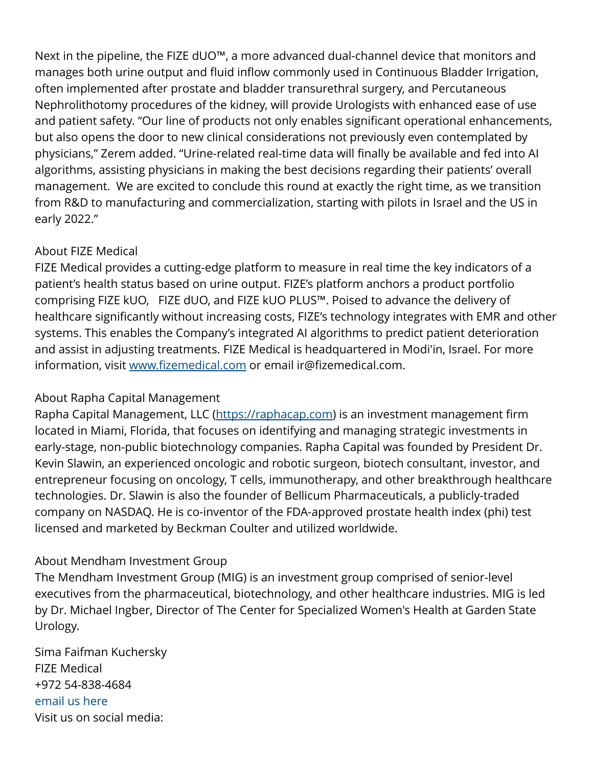Next in the pipeline, the FIZE dUO™, a more advanced dual-channel device that monitors and manages both urine output and fluid inflow commonly used in Continuous Bladder Irrigation, often implemented after prostate and bladder transurethral surgery, and Percutaneous Nephrolithotomy procedures of the kidney, will provide Urologists with enhanced ease of use and patient safety. "Our line of products not only enables significant operational enhancements, but also opens the door to new clinical considerations not previously even contemplated by physicians," Zerem added. "Urine-related real-time data will finally be available and fed into AI algorithms, assisting physicians in making the best decisions regarding their patients' overall management. We are excited to conclude this round at exactly the right time, as we transition from R&D to manufacturing and commercialization, starting with pilots in Israel and the US in early 2022."

## About FIZE Medical

FIZE Medical provides a cutting-edge platform to measure in real time the key indicators of a patient's health status based on urine output. FIZE's platform anchors a product portfolio comprising FIZE kUO, FIZE dUO, and FIZE kUO PLUS™. Poised to advance the delivery of healthcare significantly without increasing costs, FIZE's technology integrates with EMR and other systems. This enables the Company's integrated AI algorithms to predict patient deterioration and assist in adjusting treatments. FIZE Medical is headquartered in Modi'in, Israel. For more information, visit [www.fizemedical.com](http://www.fizemedical.com) or email ir@fizemedical.com.

### About Rapha Capital Management

Rapha Capital Management, LLC ([https://raphacap.com\)](https://raphacap.com) is an investment management firm located in Miami, Florida, that focuses on identifying and managing strategic investments in early-stage, non-public biotechnology companies. Rapha Capital was founded by President Dr. Kevin Slawin, an experienced oncologic and robotic surgeon, biotech consultant, investor, and entrepreneur focusing on oncology, T cells, immunotherapy, and other breakthrough healthcare technologies. Dr. Slawin is also the founder of Bellicum Pharmaceuticals, a publicly-traded company on NASDAQ. He is co-inventor of the FDA-approved prostate health index (phi) test licensed and marketed by Beckman Coulter and utilized worldwide.

# About Mendham Investment Group

The Mendham Investment Group (MIG) is an investment group comprised of senior-level executives from the pharmaceutical, biotechnology, and other healthcare industries. MIG is led by Dr. Michael Ingber, Director of The Center for Specialized Women's Health at Garden State Urology.

Sima Faifman Kuchersky FIZE Medical +972 54-838-4684 [email us here](http://www.einpresswire.com/contact_author/3211552) Visit us on social media: